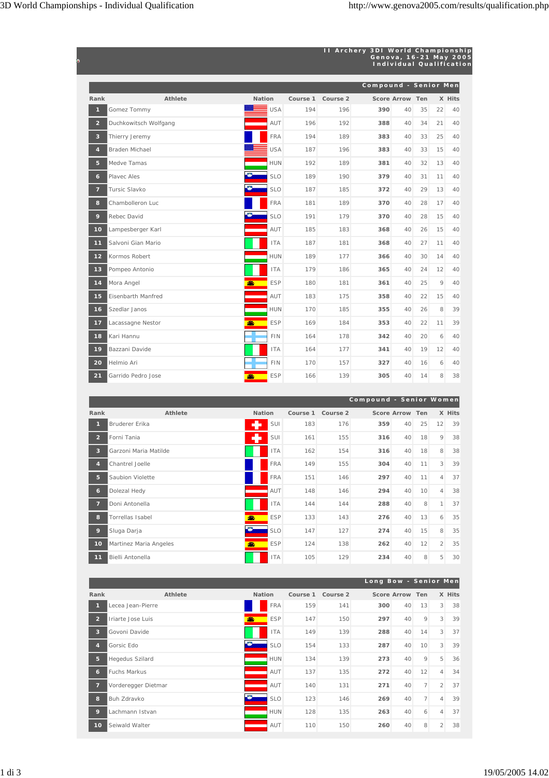|                         |                       |                         |          | II Archery 3DI World Championship | Genova, 16-21 May 2005<br><b>Individual Qualification</b> |    |    |    |        |
|-------------------------|-----------------------|-------------------------|----------|-----------------------------------|-----------------------------------------------------------|----|----|----|--------|
|                         |                       |                         |          |                                   | Compound - Senior Men                                     |    |    |    |        |
| Rank                    | Athlete               | <b>Nation</b>           | Course 1 | Course 2                          | Score Arrow Ten                                           |    |    |    | X Hits |
| $\mathbf{1}$            | Gomez Tommy           | <b>USA</b>              | 194      | 196                               | 390                                                       | 40 | 35 | 22 | 40     |
| $\overline{2}$          | Duchkowitsch Wolfgang | AUT                     | 196      | 192                               | 388                                                       | 40 | 34 | 21 | 40     |
| $\overline{\mathbf{3}}$ | Thierry Jeremy        | <b>FRA</b>              | 194      | 189                               | 383                                                       | 40 | 33 | 25 | 40     |
| $\overline{4}$          | Braden Michael        | <b>USA</b>              | 187      | 196                               | 383                                                       | 40 | 33 | 15 | 40     |
| 5 <sup>5</sup>          | Medve Tamas           | <b>HUN</b>              | 192      | 189                               | 381                                                       | 40 | 32 | 13 | 40     |
| $\epsilon$              | Playec Ales           | o<br><b>SLO</b>         | 189      | 190                               | 379                                                       | 40 | 31 | 11 | 40     |
| $\overline{7}$          | Tursic Slavko         | <b>SLO</b>              | 187      | 185                               | 372                                                       | 40 | 29 | 13 | 40     |
| 8                       | Chambolleron Luc      | <b>FRA</b>              | 181      | 189                               | 370                                                       | 40 | 28 | 17 | 40     |
| 9                       | Rebec David           | <b>SLO</b>              | 191      | 179                               | 370                                                       | 40 | 28 | 15 | 40     |
| 10 <sub>1</sub>         | Lampesberger Karl     | AUT                     | 185      | 183                               | 368                                                       | 40 | 26 | 15 | 40     |
| 11                      | Salvoni Gian Mario    | <b>ITA</b>              | 187      | 181                               | 368                                                       | 40 | 27 | 11 | 40     |
| 12                      | Kormos Robert         | <b>HUN</b>              | 189      | 177                               | 366                                                       | 40 | 30 | 14 | 40     |
| 13                      | Pompeo Antonio        | <b>ITA</b>              | 179      | 186                               | 365                                                       | 40 | 24 | 12 | 40     |
| 14                      | Mora Angel            | $\bullet$<br><b>ESP</b> | 180      | 181                               | 361                                                       | 40 | 25 | 9  | 40     |
| 15                      | Eisenbarth Manfred    | AUT                     | 183      | 175                               | 358                                                       | 40 | 22 | 15 | 40     |
| 16                      | Szedlar Janos         | <b>HUN</b>              | 170      | 185                               | 355                                                       | 40 | 26 | 8  | 39     |
| 17                      | Lacassagne Nestor     | <b>ESP</b><br>an.       | 169      | 184                               | 353                                                       | 40 | 22 | 11 | 39     |
| 18                      | Kari Hannu            | <b>FIN</b>              | 164      | 178                               | 342                                                       | 40 | 20 | 6  | 40     |
| 19                      | Bazzani Davide        | <b>ITA</b>              | 164      | 177                               | 341                                                       | 40 | 19 | 12 | 40     |
| 20                      | Helmio Ari            | <b>FIN</b>              | 170      | 157                               | 327                                                       | 40 | 16 | 6  | 40     |
| 21                      | Garrido Pedro Jose    | <b>ESP</b><br>dh.       | 166      | 139                               | 305                                                       | 40 | 14 | 8  | 38     |

|                 |                        |                  |          |          | Compound - Senior Women |                 |    |                |        |
|-----------------|------------------------|------------------|----------|----------|-------------------------|-----------------|----|----------------|--------|
| Rank            | Athlete                | <b>Nation</b>    | Course 1 | Course 2 |                         | Score Arrow Ten |    |                | X Hits |
| 1               | Bruderer Erika         | SUI              | 183      | 176      | 359                     | 40              | 25 | 12             | 39     |
| $\overline{2}$  | Forni Tania            | SUI              | 161      | 155      | 316                     | 40              | 18 | 9              | 38     |
| $\overline{3}$  | Garzoni Maria Matilde  | <b>ITA</b>       | 162      | 154      | 316                     | 40              | 18 | 8              | 38     |
| $\overline{4}$  | Chantrel Joelle        | <b>FRA</b>       | 149      | 155      | 304                     | 40              | 11 | $\overline{3}$ | 39     |
| 5 <sup>5</sup>  | Saubion Violette       | <b>FRA</b>       | 151      | 146      | 297                     | 40              | 11 | $\overline{4}$ | 37     |
| 6 <sup>1</sup>  | Dolezal Hedy           | AUT              | 148      | 146      | 294                     | 40              | 10 | $\overline{4}$ | 38     |
| $\overline{7}$  | Doni Antonella         | <b>ITA</b>       | 144      | 144      | 288                     | 40              | 8  | 1              | 37     |
| 8               | Torrellas Isabel       | <b>ESP</b><br>æ. | 133      | 143      | 276                     | 40              | 13 | 6              | 35     |
| 9               | Sluga Darja            | <b>SLO</b>       | 147      | 127      | 274                     | 40              | 15 | 8              | 35     |
| 10 <sub>o</sub> | Martinez Maria Angeles | <b>ESP</b><br>盡  | 124      | 138      | 262                     | 40              | 12 | $\overline{2}$ | 35     |
| 11              | Bielli Antonella       | <b>ITA</b>       | 105      | 129      | 234                     | 40              | 8  | 5              | 30     |

|                           |                        |               |            |          |          | Long Bow - Senior Men |                 |                |                 |        |
|---------------------------|------------------------|---------------|------------|----------|----------|-----------------------|-----------------|----------------|-----------------|--------|
| Rank                      | Athlete                | <b>Nation</b> |            | Course 1 | Course 2 |                       | Score Arrow Ten |                |                 | X Hits |
|                           | Lecea Jean-Pierre      |               | <b>FRA</b> | 159      | 141      | 300                   | 40              | 13             | 3               | 38     |
| $\overline{2}$            | Iriarte Jose Luis      | an.           | <b>ESP</b> | 147      | 150      | 297                   | 40              | 9              | $\overline{3}$  | 39     |
| $\overline{3}$            | Govoni Davide          |               | <b>ITA</b> | 149      | 139      | 288                   | 40              | 14             | 3               | 37     |
| $\mathbf{A}_{\mathbf{y}}$ | Gorsic Edo             |               | <b>SLO</b> | 154      | 133      | 287                   | 40              | 10             | $\overline{3}$  | 39     |
| 5                         | <b>Hegedus Szilard</b> |               | <b>HUN</b> | 134      | 139      | 273                   | 40              | 9              | $5\overline{5}$ | 36     |
| 6 <sup>1</sup>            | <b>Fuchs Markus</b>    |               | AUT        | 137      | 135      | 272                   | 40              | 12             | $\overline{4}$  | 34     |
| $\overline{7}$            | Vorderegger Dietmar    |               | AUT        | 140      | 131      | 271                   | 40              | 7 <sup>1</sup> | $\mathcal{P}$   | 37     |
| 8                         | Buh Zdravko            |               | <b>SLO</b> | 123      | 146      | 269                   | 40              | 7 <sup>1</sup> | 4               | 39     |
| 9                         | Lachmann Istvan        |               | <b>HUN</b> | 128      | 135      | 263                   | 40              | 6              | 4               | 37     |
| 10                        | Seiwald Walter         |               | AUT        | 110      | 150      | 260                   | 40              | 8              | $\overline{2}$  | 38     |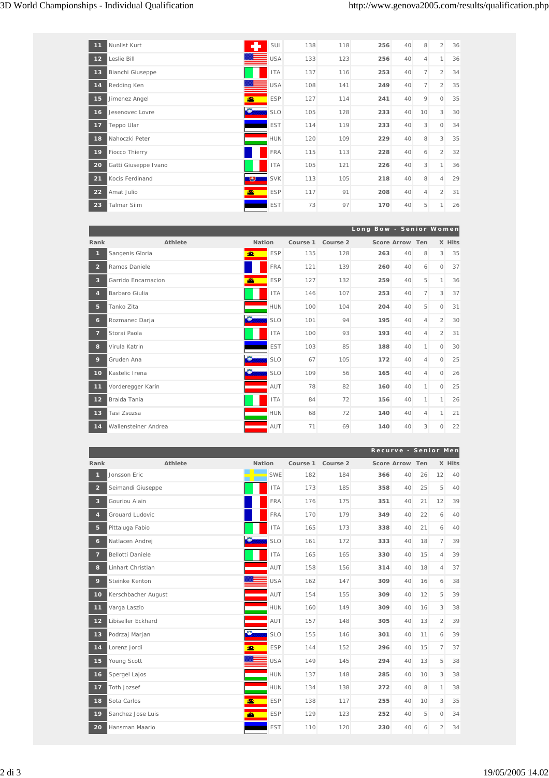| 11 | Nunlist Kurt         |    | SUI        | 138 | 118 | 256 | 40 | 8              | $\overline{2}$ | 36 |
|----|----------------------|----|------------|-----|-----|-----|----|----------------|----------------|----|
| 12 | Leslie Bill          |    | <b>USA</b> | 133 | 123 | 256 | 40 | $\overline{4}$ | $\mathbf{1}$   | 36 |
| 13 | Bianchi Giuseppe     |    | <b>ITA</b> | 137 | 116 | 253 | 40 | $\overline{7}$ | $\overline{2}$ | 34 |
| 14 | Redding Ken          |    | <b>USA</b> | 108 | 141 | 249 | 40 | $\overline{7}$ | $\overline{2}$ | 35 |
| 15 | Jimenez Angel        | æ. | <b>ESP</b> | 127 | 114 | 241 | 40 | 9              | $\circ$        | 35 |
| 16 | Jesenovec Lovre      | O  | <b>SLO</b> | 105 | 128 | 233 | 40 | 10             | $\mathbf{3}$   | 30 |
| 17 | Teppo Ular           |    | <b>EST</b> | 114 | 119 | 233 | 40 | 3              | $\circ$        | 34 |
| 18 | Nahoczki Peter       |    | <b>HUN</b> | 120 | 109 | 229 | 40 | 8              | 3              | 35 |
| 19 | Fiocco Thierry       |    | <b>FRA</b> | 115 | 113 | 228 | 40 | 6              | $\overline{2}$ | 32 |
| 20 | Gatti Giuseppe Ivano |    | <b>ITA</b> | 105 | 121 | 226 | 40 | 3              | 1              | 36 |
| 21 | Kocis Ferdinand      | ு  | <b>SVK</b> | 113 | 105 | 218 | 40 | 8              | $\overline{4}$ | 29 |
| 22 | Amat Julio           | 盡  | <b>ESP</b> | 117 | 91  | 208 | 40 | 4              | $\overline{2}$ | 31 |
| 23 | <b>Talmar Siim</b>   |    | <b>EST</b> | 73  | 97  | 170 | 40 | 5              | $\mathbf{1}$   | 26 |

|                 |                      |               |            |          |          | Long Bow - Senior Women |                 |                |                |        |
|-----------------|----------------------|---------------|------------|----------|----------|-------------------------|-----------------|----------------|----------------|--------|
| Rank            | Athlete              | <b>Nation</b> |            | Course 1 | Course 2 |                         | Score Arrow Ten |                |                | X Hits |
| 1               | Sangenis Gloria      | æ             | <b>ESP</b> | 135      | 128      | 263                     | 40              | 8              | $\mathbf{3}$   | 35     |
| $\overline{2}$  | Ramos Daniele        |               | <b>FRA</b> | 121      | 139      | 260                     | 40              | 6              | $\circ$        | 37     |
| $\mathbf{3}$    | Garrido Encarnacion  | 盡             | <b>ESP</b> | 127      | 132      | 259                     | 40              | 5              | $\mathbf{1}$   | 36     |
| $\overline{4}$  | Barbaro Giulia       |               | <b>ITA</b> | 146      | 107      | 253                     | 40              | $\overline{7}$ | $\mathbf{3}$   | 37     |
| 5 <sup>5</sup>  | Tanko Zita           |               | <b>HUN</b> | 100      | 104      | 204                     | 40              | 5              | $\Omega$       | 31     |
| $\mathbf{6}$    | Rozmanec Darja       |               | <b>SLO</b> | 101      | 94       | 195                     | 40              | 4              | $\overline{2}$ | 30     |
| $\overline{7}$  | Storai Paola         |               | <b>ITA</b> | 100      | 93       | 193                     | 40              | $\overline{4}$ | $\overline{2}$ | 31     |
| 8               | Virula Katrin        |               | <b>EST</b> | 103      | 85       | 188                     | 40              | 1              | $\Omega$       | 30     |
| 9               | Gruden Ana           |               | <b>SLO</b> | 67       | 105      | 172                     | 40              | $\overline{4}$ | $\circ$        | 25     |
| 10 <sup>1</sup> | Kastelic Irena       |               | <b>SLO</b> | 109      | 56       | 165                     | 40              | 4              | $\Omega$       | 26     |
| $11$            | Vorderegger Karin    |               | AUT        | 78       | 82       | 160                     | 40              | 1              | $\circ$        | 25     |
| 12              | Braida Tania         |               | <b>ITA</b> | 84       | 72       | 156                     | 40              | 1              | $\mathbf{1}$   | 26     |
| 13              | Tasi Zsuzsa          |               | <b>HUN</b> | 68       | 72       | 140                     | 40              | 4              | 1              | 21     |
| 14              | Wallensteiner Andrea |               | AUT        | 71       | 69       | 140                     | 40              | 3              | $\circ$        | 22     |

|                 |                     |               |            |          |          |     | Recurve - Senior Men |    |                |        |
|-----------------|---------------------|---------------|------------|----------|----------|-----|----------------------|----|----------------|--------|
| Rank            | Athlete             | <b>Nation</b> |            | Course 1 | Course 2 |     | Score Arrow Ten      |    |                | X Hits |
| $\mathbf{1}$    | Jonsson Eric        |               | <b>SWE</b> | 182      | 184      | 366 | 40                   | 26 | 12             | 40     |
| 2 <sup>2</sup>  | Seimandi Giuseppe   |               | <b>ITA</b> | 173      | 185      | 358 | 40                   | 25 | 5              | 40     |
| $\overline{3}$  | Gouriou Alain       |               | <b>FRA</b> | 176      | 175      | 351 | 40                   | 21 | 12             | 39     |
| 4               | Grouard Ludovic     |               | <b>FRA</b> | 170      | 179      | 349 | 40                   | 22 | 6              | 40     |
| 5               | Pittaluga Fabio     |               | <b>ITA</b> | 165      | 173      | 338 | 40                   | 21 | 6              | 40     |
| $\epsilon$      | Natlacen Andrej     |               | <b>SLO</b> | 161      | 172      | 333 | 40                   | 18 | $\overline{7}$ | 39     |
| 7               | Bellotti Daniele    |               | <b>ITA</b> | 165      | 165      | 330 | 40                   | 15 | $\overline{4}$ | 39     |
| 8               | Linhart Christian   |               | AUT        | 158      | 156      | 314 | 40                   | 18 | $\overline{4}$ | 37     |
| 9               | Steinke Kenton      |               | <b>USA</b> | 162      | 147      | 309 | 40                   | 16 | 6              | 38     |
| 10 <sub>1</sub> | Kerschbacher August |               | AUT        | 154      | 155      | 309 | 40                   | 12 | 5              | 39     |
| 11              | Varga Laszlo        |               | <b>HUN</b> | 160      | 149      | 309 | 40                   | 16 | 3              | 38     |
| 12              | Libiseller Eckhard  |               | AUT        | 157      | 148      | 305 | 40                   | 13 | $\overline{2}$ | 39     |
| 13              | Podrzaj Marjan      |               | <b>SLO</b> | 155      | 146      | 301 | 40                   | 11 | 6              | 39     |
| 14              | Lorenz Jordi        |               | <b>ESP</b> | 144      | 152      | 296 | 40                   | 15 | 7              | 37     |
| 15              | Young Scott         |               | <b>USA</b> | 149      | 145      | 294 | 40                   | 13 | 5              | 38     |
| 16              | Spergel Lajos       |               | <b>HUN</b> | 137      | 148      | 285 | 40                   | 10 | 3              | 38     |
| 17              | <b>Toth Jozsef</b>  |               | <b>HUN</b> | 134      | 138      | 272 | 40                   | 8  | $\mathbf{1}$   | 38     |
| 18              | Sota Carlos         |               | <b>ESP</b> | 138      | 117      | 255 | 40                   | 10 | 3              | 35     |
| 19              | Sanchez Jose Luis   |               | <b>ESP</b> | 129      | 123      | 252 | 40                   | 5  | $\Omega$       | 34     |
| 20              | Hansman Maario      |               | <b>EST</b> | 110      | 120      | 230 | 40                   | 6  | $\overline{2}$ | 34     |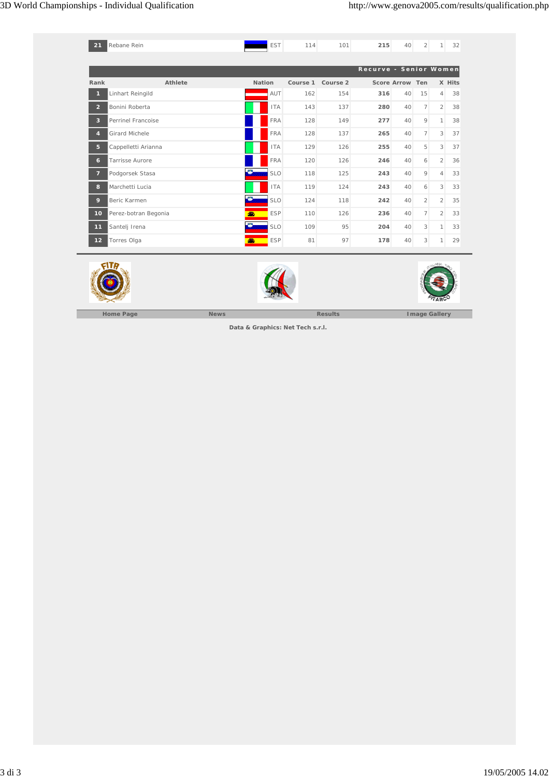| 21                      | Rebane Rein           | <b>EST</b>    | 114      | 101      | 215                    | 40              | $\overline{2}$ | $\mathbf{1}$            | 32     |
|-------------------------|-----------------------|---------------|----------|----------|------------------------|-----------------|----------------|-------------------------|--------|
|                         |                       |               |          |          |                        |                 |                |                         |        |
|                         |                       |               |          |          | Recurve - Senior Women |                 |                |                         |        |
| Rank                    | <b>Athlete</b>        | <b>Nation</b> | Course 1 | Course 2 |                        | Score Arrow Ten |                |                         | X Hits |
| 1                       | Linhart Reingild      | AUT           | 162      | 154      | 316                    | 40              | 15             | $\overline{4}$          | 38     |
| $\overline{2}$          | Bonini Roberta        | <b>ITA</b>    | 143      | 137      | 280                    | 40              | 7 <sup>1</sup> | $\overline{2}$          | 38     |
| $\overline{\mathbf{3}}$ | Perrinel Francoise    | <b>FRA</b>    | 128      | 149      | 277                    | 40              | 9              | $\mathbf{1}$            | 38     |
| $\overline{4}$          | <b>Girard Michele</b> | <b>FRA</b>    | 128      | 137      | 265                    | 40              | $\overline{7}$ | 3                       | 37     |
| 5                       | Cappelletti Arianna   | <b>ITA</b>    | 129      | 126      | 255                    | 40              | 5              | $\overline{\mathbf{3}}$ | 37     |
| 6                       | Tarrisse Aurore       | <b>FRA</b>    | 120      | 126      | 246                    | 40              | 6              | $\mathcal{L}$           | 36     |
| $\overline{7}$          | Podgorsek Stasa       | <b>SLO</b>    | 118      | 125      | 243                    | 40              | 9              | $\overline{4}$          | 33     |
| 8                       | Marchetti Lucia       | <b>ITA</b>    | 119      | 124      | 243                    | 40              | 6              | $\overline{3}$          | 33     |
| 9                       | Beric Karmen          | <b>SLO</b>    | 124      | 118      | 242                    | 40              | $\overline{2}$ | $\overline{2}$          | 35     |
| 10                      | Perez-botran Begonia  | <b>ESP</b>    | 110      | 126      | 236                    | 40              | 7 <sup>1</sup> | $\overline{2}$          | 33     |
| $11$                    | Santelj Irena         | <b>SLO</b>    | 109      | 95       | 204                    | 40              | 3              | $\mathbf{1}$            | 33     |
| $12$                    | Torres Olga           | <b>ESP</b>    | 81       | 97       | 178                    | 40              | 3              | $\mathbf{1}$            | 29     |



**Data & Graphics: Net Tech s.r.l.**